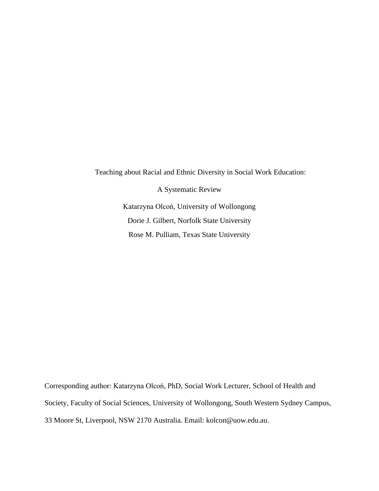Teaching about Racial and Ethnic Diversity in Social Work Education: A Systematic Review Katarzyna Olcoń, University of Wollongong Dorie J. Gilbert, Norfolk State University Rose M. Pulliam, Texas State University

Corresponding author: Katarzyna Olcoń, PhD, Social Work Lecturer, School of Health and Society, Faculty of Social Sciences, University of Wollongong, South Western Sydney Campus, [33 Moore](https://maps.google.com/?q=33+Moore+St,+Liverpool+NSW+2170&entry=gmail&source=g) [St, Liverpool, NSW 2170](https://maps.google.com/?q=33+Moore+St,+Liverpool+NSW+2170&entry=gmail&source=g) Australia. Email: [kolcon@uow.edu.](mailto:kolcon@uow.edu)au.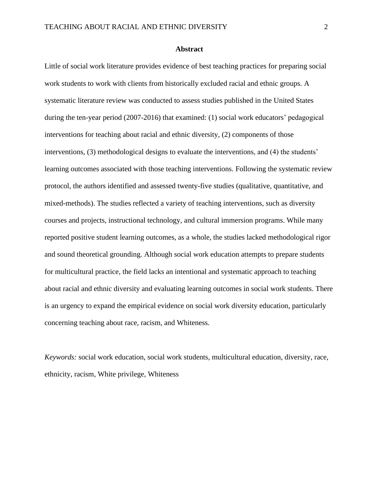### **Abstract**

Little of social work literature provides evidence of best teaching practices for preparing social work students to work with clients from historically excluded racial and ethnic groups. A systematic literature review was conducted to assess studies published in the United States during the ten-year period (2007-2016) that examined: (1) social work educators' pedagogical interventions for teaching about racial and ethnic diversity, (2) components of those interventions, (3) methodological designs to evaluate the interventions, and (4) the students' learning outcomes associated with those teaching interventions. Following the systematic review protocol, the authors identified and assessed twenty-five studies (qualitative, quantitative, and mixed-methods). The studies reflected a variety of teaching interventions, such as diversity courses and projects, instructional technology, and cultural immersion programs. While many reported positive student learning outcomes, as a whole, the studies lacked methodological rigor and sound theoretical grounding. Although social work education attempts to prepare students for multicultural practice, the field lacks an intentional and systematic approach to teaching about racial and ethnic diversity and evaluating learning outcomes in social work students. There is an urgency to expand the empirical evidence on social work diversity education, particularly concerning teaching about race, racism, and Whiteness.

*Keywords:* social work education, social work students, multicultural education, diversity, race, ethnicity, racism, White privilege, Whiteness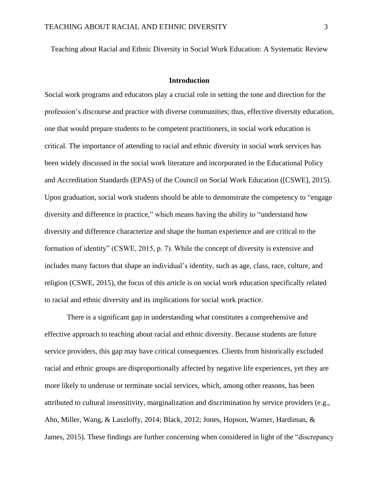Teaching about Racial and Ethnic Diversity in Social Work Education: A Systematic Review

# **Introduction**

Social work programs and educators play a crucial role in setting the tone and direction for the profession's discourse and practice with diverse communities; thus, effective diversity education, one that would prepare students to be competent practitioners, in social work education is critical. The importance of attending to racial and ethnic diversity in social work services has been widely discussed in the social work literature and incorporated in the Educational Policy and Accreditation Standards (EPAS) of the Council on Social Work Education ([CSWE], 2015). Upon graduation, social work students should be able to demonstrate the competency to "engage diversity and difference in practice," which means having the ability to "understand how diversity and difference characterize and shape the human experience and are critical to the formation of identity" (CSWE, 2015, p. 7). While the concept of diversity is extensive and includes many factors that shape an individual's identity, such as age, class, race, culture, and religion (CSWE, 2015), the focus of this article is on social work education specifically related to racial and ethnic diversity and its implications for social work practice.

There is a significant gap in understanding what constitutes a comprehensive and effective approach to teaching about racial and ethnic diversity. Because students are future service providers, this gap may have critical consequences. Clients from historically excluded racial and ethnic groups are disproportionally affected by negative life experiences, yet they are more likely to underuse or terminate social services, which, among other reasons, has been attributed to cultural insensitivity, marginalization and discrimination by service providers (e.g., Ahn, Miller, Wang, & Laszloffy, 2014; Black, 2012; Jones, Hopson, Warner, Hardiman, & James, 2015). These findings are further concerning when considered in light of the "discrepancy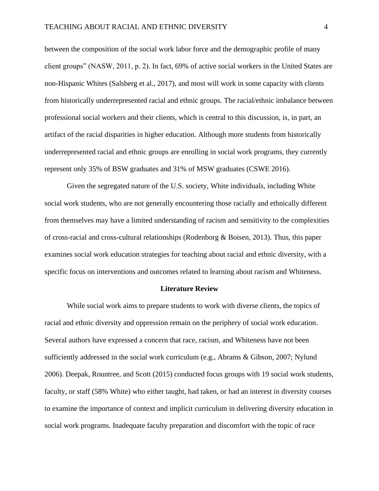between the composition of the social work labor force and the demographic profile of many client groups" (NASW, 2011, p. 2). In fact, 69% of active social workers in the United States are non-Hispanic Whites (Salsberg et al., 2017), and most will work in some capacity with clients from historically underrepresented racial and ethnic groups. The racial/ethnic imbalance between professional social workers and their clients, which is central to this discussion, is, in part, an artifact of the racial disparities in higher education. Although more students from historically underrepresented racial and ethnic groups are enrolling in social work programs, they currently represent only 35% of BSW graduates and 31% of MSW graduates (CSWE 2016).

Given the segregated nature of the U.S. society, White individuals, including White social work students, who are not generally encountering those racially and ethnically different from themselves may have a limited understanding of racism and sensitivity to the complexities of cross-racial and cross-cultural relationships (Rodenborg  $\&$  Boisen, 2013). Thus, this paper examines social work education strategies for teaching about racial and ethnic diversity, with a specific focus on interventions and outcomes related to learning about racism and Whiteness.

### **Literature Review**

While social work aims to prepare students to work with diverse clients, the topics of racial and ethnic diversity and oppression remain on the periphery of social work education. Several authors have expressed a concern that race, racism, and Whiteness have not been sufficiently addressed in the social work curriculum (e.g., Abrams & Gibson, 2007; Nylund 2006). Deepak, Rountree, and Scott (2015) conducted focus groups with 19 social work students, faculty, or staff (58% White) who either taught, had taken, or had an interest in diversity courses to examine the importance of context and implicit curriculum in delivering diversity education in social work programs. Inadequate faculty preparation and discomfort with the topic of race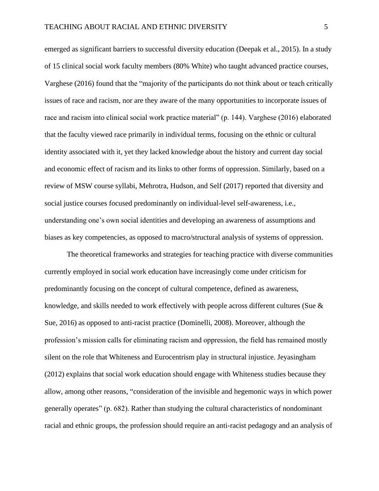emerged as significant barriers to successful diversity education (Deepak et al., 2015). In a study of 15 clinical social work faculty members (80% White) who taught advanced practice courses, Varghese (2016) found that the "majority of the participants do not think about or teach critically issues of race and racism, nor are they aware of the many opportunities to incorporate issues of race and racism into clinical social work practice material" (p. 144). Varghese (2016) elaborated that the faculty viewed race primarily in individual terms, focusing on the ethnic or cultural identity associated with it, yet they lacked knowledge about the history and current day social and economic effect of racism and its links to other forms of oppression. Similarly, based on a review of MSW course syllabi, Mehrotra, Hudson, and Self (2017) reported that diversity and social justice courses focused predominantly on individual-level self-awareness, i.e., understanding one's own social identities and developing an awareness of assumptions and biases as key competencies, as opposed to macro/structural analysis of systems of oppression.

The theoretical frameworks and strategies for teaching practice with diverse communities currently employed in social work education have increasingly come under criticism for predominantly focusing on the concept of cultural competence, defined as awareness, knowledge, and skills needed to work effectively with people across different cultures (Sue & Sue, 2016) as opposed to anti-racist practice (Dominelli, 2008). Moreover, although the profession's mission calls for eliminating racism and oppression, the field has remained mostly silent on the role that Whiteness and Eurocentrism play in structural injustice. Jeyasingham (2012) explains that social work education should engage with Whiteness studies because they allow, among other reasons, "consideration of the invisible and hegemonic ways in which power generally operates" (p. 682). Rather than studying the cultural characteristics of nondominant racial and ethnic groups, the profession should require an anti-racist pedagogy and an analysis of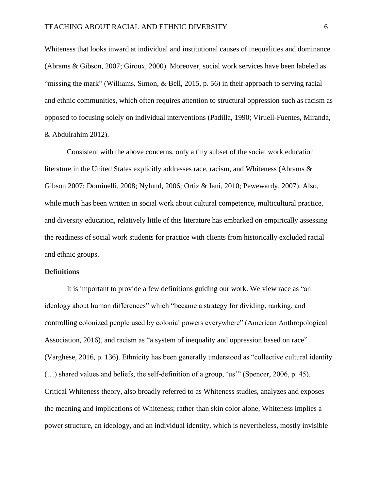Whiteness that looks inward at individual and institutional causes of inequalities and dominance (Abrams & Gibson, 2007; Giroux, 2000). Moreover, social work services have been labeled as "missing the mark" (Williams, Simon, & Bell, 2015, p. 56) in their approach to serving racial and ethnic communities, which often requires attention to structural oppression such as racism as opposed to focusing solely on individual interventions (Padilla, 1990; Viruell-Fuentes, Miranda, & Abdulrahim 2012).

Consistent with the above concerns, only a tiny subset of the social work education literature in the United States explicitly addresses race, racism, and Whiteness (Abrams & Gibson 2007; Dominelli, 2008; Nylund, 2006; Ortiz & Jani, 2010; Pewewardy, 2007). Also, while much has been written in social work about cultural competence, multicultural practice, and diversity education, relatively little of this literature has embarked on empirically assessing the readiness of social work students for practice with clients from historically excluded racial and ethnic groups.

#### **Definitions**

It is important to provide a few definitions guiding our work. We view race as "an ideology about human differences" which "became a strategy for dividing, ranking, and controlling colonized people used by colonial powers everywhere" (American Anthropological Association, 2016), and racism as "a system of inequality and oppression based on race" (Varghese, 2016, p. 136). Ethnicity has been generally understood as "collective cultural identity (…) shared values and beliefs, the self-definition of a group, 'us'" (Spencer, 2006, p. 45). Critical Whiteness theory, also broadly referred to as Whiteness studies, analyzes and exposes the meaning and implications of Whiteness; rather than skin color alone, Whiteness implies a power structure, an ideology, and an individual identity, which is nevertheless, mostly invisible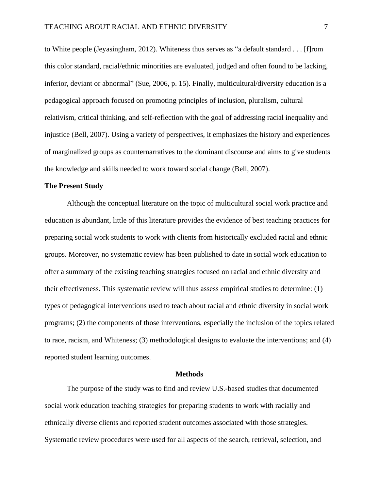to White people (Jeyasingham, 2012). Whiteness thus serves as "a default standard . . . [f]rom this color standard, racial/ethnic minorities are evaluated, judged and often found to be lacking, inferior, deviant or abnormal" (Sue, 2006, p. 15). Finally, multicultural/diversity education is a pedagogical approach focused on promoting principles of inclusion, pluralism, cultural relativism, critical thinking, and self-reflection with the goal of addressing racial inequality and injustice (Bell, 2007). Using a variety of perspectives, it emphasizes the history and experiences of marginalized groups as counternarratives to the dominant discourse and aims to give students the knowledge and skills needed to work toward social change (Bell, 2007).

#### **The Present Study**

Although the conceptual literature on the topic of multicultural social work practice and education is abundant, little of this literature provides the evidence of best teaching practices for preparing social work students to work with clients from historically excluded racial and ethnic groups. Moreover, no systematic review has been published to date in social work education to offer a summary of the existing teaching strategies focused on racial and ethnic diversity and their effectiveness. This systematic review will thus assess empirical studies to determine: (1) types of pedagogical interventions used to teach about racial and ethnic diversity in social work programs; (2) the components of those interventions, especially the inclusion of the topics related to race, racism, and Whiteness; (3) methodological designs to evaluate the interventions; and (4) reported student learning outcomes.

### **Methods**

The purpose of the study was to find and review U.S.-based studies that documented social work education teaching strategies for preparing students to work with racially and ethnically diverse clients and reported student outcomes associated with those strategies. Systematic review procedures were used for all aspects of the search, retrieval, selection, and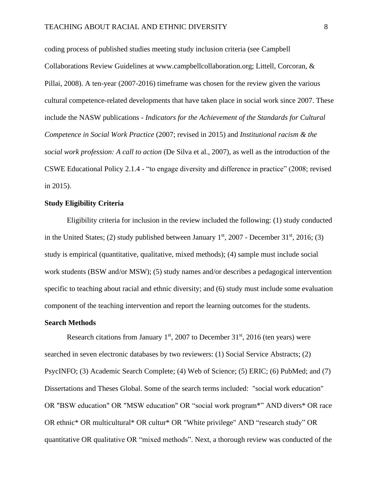coding process of published studies meeting study inclusion criteria (see Campbell Collaborations Review Guidelines at www.campbellcollaboration.org; Littell, Corcoran, & Pillai, 2008). A ten-year (2007-2016) timeframe was chosen for the review given the various cultural competence-related developments that have taken place in social work since 2007. These include the NASW publications - *Indicators for the Achievement of the Standards for Cultural Competence in Social Work Practice* (2007; revised in 2015) and *Institutional racism & the social work profession: A call to action* (De Silva et al., 2007), as well as the introduction of the CSWE Educational Policy 2.1.4 - "to engage diversity and difference in practice" (2008; revised in 2015).

# **Study Eligibility Criteria**

Eligibility criteria for inclusion in the review included the following: (1) study conducted in the United States; (2) study published between January  $1<sup>st</sup>$ , 2007 - December 31 $<sup>st</sup>$ , 2016; (3)</sup> study is empirical (quantitative, qualitative, mixed methods); (4) sample must include social work students (BSW and/or MSW); (5) study names and/or describes a pedagogical intervention specific to teaching about racial and ethnic diversity; and (6) study must include some evaluation component of the teaching intervention and report the learning outcomes for the students.

#### **Search Methods**

Research citations from January  $1<sup>st</sup>$ , 2007 to December 31 $<sup>st</sup>$ , 2016 (ten years) were</sup> searched in seven electronic databases by two reviewers: (1) Social Service Abstracts; (2) PsycINFO; (3) Academic Search Complete; (4) Web of Science; (5) ERIC; (6) PubMed; and (7) Dissertations and Theses Global. Some of the search terms included: "social work education" OR "BSW education" OR "MSW education" OR "social work program\*" AND divers\* OR race OR ethnic\* OR multicultural\* OR cultur\* OR "White privilege" AND "research study" OR quantitative OR qualitative OR "mixed methods". Next, a thorough review was conducted of the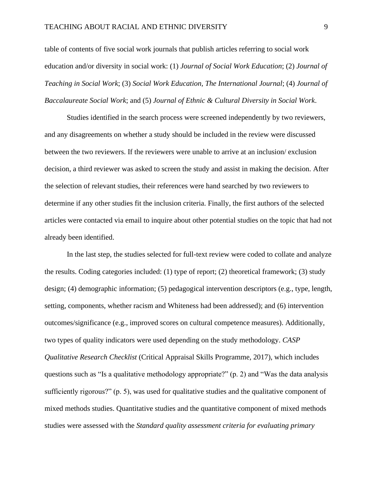table of contents of five social work journals that publish articles referring to social work education and/or diversity in social work: (1) *Journal of Social Work Education*; (2) *Journal of Teaching in Social Work*; (3) *Social Work Education, The International Journal*; (4) *Journal of Baccalaureate Social Work*; and (5) *Journal of Ethnic & Cultural Diversity in Social Work*.

Studies identified in the search process were screened independently by two reviewers, and any disagreements on whether a study should be included in the review were discussed between the two reviewers. If the reviewers were unable to arrive at an inclusion/ exclusion decision, a third reviewer was asked to screen the study and assist in making the decision. After the selection of relevant studies, their references were hand searched by two reviewers to determine if any other studies fit the inclusion criteria. Finally, the first authors of the selected articles were contacted via email to inquire about other potential studies on the topic that had not already been identified.

In the last step, the studies selected for full-text review were coded to collate and analyze the results. Coding categories included: (1) type of report; (2) theoretical framework; (3) study design; (4) demographic information; (5) pedagogical intervention descriptors (e.g., type, length, setting, components, whether racism and Whiteness had been addressed); and (6) intervention outcomes/significance (e.g., improved scores on cultural competence measures). Additionally, two types of quality indicators were used depending on the study methodology. *CASP Qualitative Research Checklist* (Critical Appraisal Skills Programme, 2017), which includes questions such as "Is a qualitative methodology appropriate?" (p. 2) and "Was the data analysis sufficiently rigorous?" (p. 5), was used for qualitative studies and the qualitative component of mixed methods studies. Quantitative studies and the quantitative component of mixed methods studies were assessed with the *Standard quality assessment criteria for evaluating primary*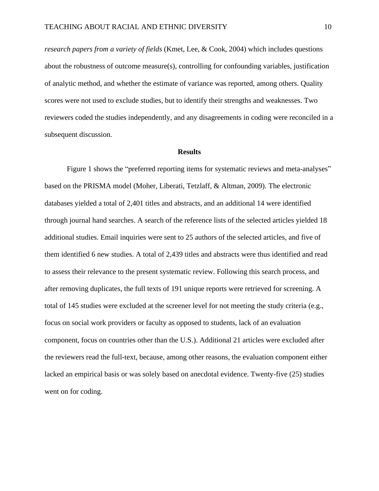*research papers from a variety of fields* (Kmet, Lee, & Cook, 2004) which includes questions about the robustness of outcome measure(s), controlling for confounding variables, justification of analytic method, and whether the estimate of variance was reported, among others. Quality scores were not used to exclude studies, but to identify their strengths and weaknesses. Two reviewers coded the studies independently, and any disagreements in coding were reconciled in a subsequent discussion.

#### **Results**

Figure 1 shows the "preferred reporting items for systematic reviews and meta-analyses" based on the PRISMA model (Moher, Liberati, Tetzlaff, & Altman, 2009). The electronic databases yielded a total of 2,401 titles and abstracts, and an additional 14 were identified through journal hand searches. A search of the reference lists of the selected articles yielded 18 additional studies. Email inquiries were sent to 25 authors of the selected articles, and five of them identified 6 new studies. A total of 2,439 titles and abstracts were thus identified and read to assess their relevance to the present systematic review. Following this search process, and after removing duplicates, the full texts of 191 unique reports were retrieved for screening. A total of 145 studies were excluded at the screener level for not meeting the study criteria (e.g., focus on social work providers or faculty as opposed to students, lack of an evaluation component, focus on countries other than the U.S.). Additional 21 articles were excluded after the reviewers read the full-text, because, among other reasons, the evaluation component either lacked an empirical basis or was solely based on anecdotal evidence. Twenty-five (25) studies went on for coding.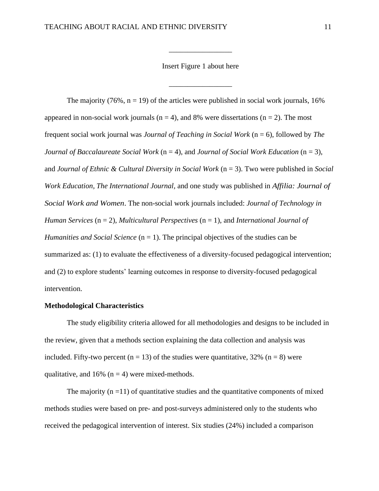Insert Figure 1 about here

\_\_\_\_\_\_\_\_\_\_\_\_\_\_\_\_\_

\_\_\_\_\_\_\_\_\_\_\_\_\_\_\_\_\_

The majority (76%,  $n = 19$ ) of the articles were published in social work journals, 16% appeared in non-social work journals ( $n = 4$ ), and 8% were dissertations ( $n = 2$ ). The most frequent social work journal was *Journal of Teaching in Social Work* (n = 6), followed by *The Journal of Baccalaureate Social Work* (n = 4), and *Journal of Social Work Education* (n = 3), and *Journal of Ethnic & Cultural Diversity in Social Work* (n = 3). Two were published in *Social Work Education, The International Journal,* and one study was published in *Affilia: Journal of Social Work and Women*. The non-social work journals included: *Journal of Technology in Human Services* (n = 2), *Multicultural Perspectives* (n = 1), and *International Journal of Humanities and Social Science*  $(n = 1)$ . The principal objectives of the studies can be summarized as: (1) to evaluate the effectiveness of a diversity-focused pedagogical intervention; and (2) to explore students' learning outcomes in response to diversity-focused pedagogical intervention.

# **Methodological Characteristics**

The study eligibility criteria allowed for all methodologies and designs to be included in the review, given that a methods section explaining the data collection and analysis was included. Fifty-two percent ( $n = 13$ ) of the studies were quantitative, 32% ( $n = 8$ ) were qualitative, and 16% ( $n = 4$ ) were mixed-methods.

The majority  $(n = 11)$  of quantitative studies and the quantitative components of mixed methods studies were based on pre- and post-surveys administered only to the students who received the pedagogical intervention of interest. Six studies (24%) included a comparison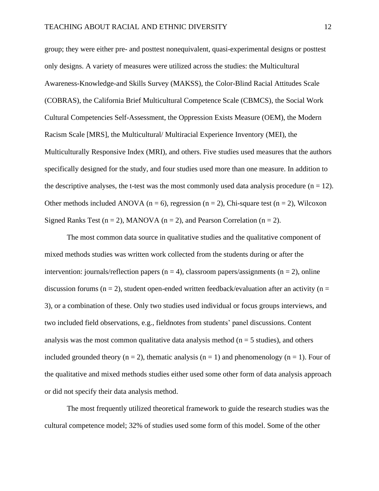group; they were either pre- and posttest nonequivalent, quasi-experimental designs or posttest only designs. A variety of measures were utilized across the studies: the Multicultural Awareness-Knowledge-and Skills Survey (MAKSS), the Color-Blind Racial Attitudes Scale (COBRAS), the California Brief Multicultural Competence Scale (CBMCS), the Social Work Cultural Competencies Self-Assessment, the Oppression Exists Measure (OEM), the Modern Racism Scale [MRS], the Multicultural/ Multiracial Experience Inventory (MEI), the Multiculturally Responsive Index (MRI), and others. Five studies used measures that the authors specifically designed for the study, and four studies used more than one measure. In addition to the descriptive analyses, the t-test was the most commonly used data analysis procedure  $(n = 12)$ . Other methods included ANOVA ( $n = 6$ ), regression ( $n = 2$ ), Chi-square test ( $n = 2$ ), Wilcoxon Signed Ranks Test ( $n = 2$ ), MANOVA ( $n = 2$ ), and Pearson Correlation ( $n = 2$ ).

The most common data source in qualitative studies and the qualitative component of mixed methods studies was written work collected from the students during or after the intervention: journals/reflection papers  $(n = 4)$ , classroom papers/assignments  $(n = 2)$ , online discussion forums ( $n = 2$ ), student open-ended written feedback/evaluation after an activity ( $n =$ 3), or a combination of these. Only two studies used individual or focus groups interviews, and two included field observations, e.g., fieldnotes from students' panel discussions. Content analysis was the most common qualitative data analysis method ( $n = 5$  studies), and others included grounded theory  $(n = 2)$ , thematic analysis  $(n = 1)$  and phenomenology  $(n = 1)$ . Four of the qualitative and mixed methods studies either used some other form of data analysis approach or did not specify their data analysis method.

The most frequently utilized theoretical framework to guide the research studies was the cultural competence model; 32% of studies used some form of this model. Some of the other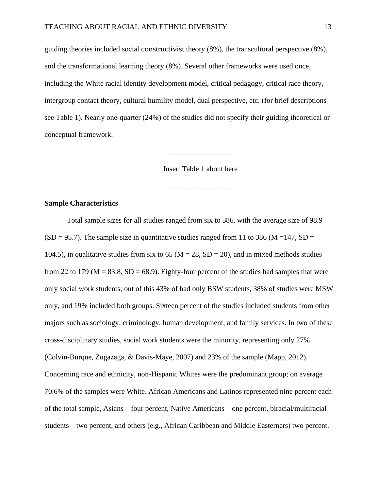guiding theories included social constructivist theory (8%), the transcultural perspective (8%), and the transformational learning theory (8%). Several other frameworks were used once, including the White racial identity development model, critical pedagogy, critical race theory, intergroup contact theory, cultural humility model, dual perspective, etc. (for brief descriptions see Table 1). Nearly one-quarter (24%) of the studies did not specify their guiding theoretical or conceptual framework.

Insert Table 1 about here

\_\_\_\_\_\_\_\_\_\_\_\_\_\_\_\_\_

\_\_\_\_\_\_\_\_\_\_\_\_\_\_\_\_\_

# **Sample Characteristics**

Total sample sizes for all studies ranged from six to 386, with the average size of 98.9  $(SD = 95.7)$ . The sample size in quantitative studies ranged from 11 to 386 (M = 147, SD = 104.5), in qualitative studies from six to 65 ( $M = 28$ , SD = 20), and in mixed methods studies from 22 to 179 ( $M = 83.8$ ,  $SD = 68.9$ ). Eighty-four percent of the studies had samples that were only social work students; out of this 43% of had only BSW students, 38% of studies were MSW only, and 19% included both groups. Sixteen percent of the studies included students from other majors such as sociology, criminology, human development, and family services. In two of these cross-disciplinary studies, social work students were the minority, representing only 27% (Colvin-Burque, Zugazaga, & Davis-Maye, 2007) and 23% of the sample (Mapp, 2012). Concerning race and ethnicity, non-Hispanic Whites were the predominant group; on average 70.6% of the samples were White. African Americans and Latinos represented nine percent each of the total sample, Asians – four percent, Native Americans – one percent, biracial/multiracial students – two percent, and others (e.g., African Caribbean and Middle Easterners) two percent.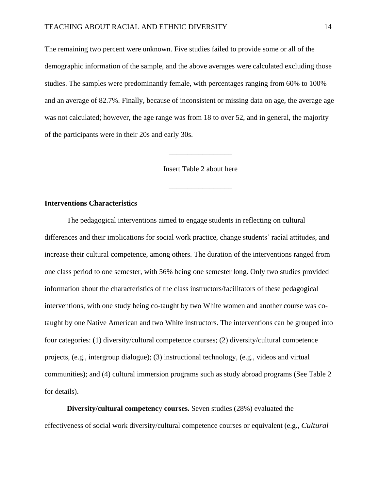The remaining two percent were unknown. Five studies failed to provide some or all of the demographic information of the sample, and the above averages were calculated excluding those studies. The samples were predominantly female, with percentages ranging from 60% to 100% and an average of 82.7%. Finally, because of inconsistent or missing data on age, the average age was not calculated; however, the age range was from 18 to over 52, and in general, the majority of the participants were in their 20s and early 30s.

Insert Table 2 about here

\_\_\_\_\_\_\_\_\_\_\_\_\_\_\_\_\_

\_\_\_\_\_\_\_\_\_\_\_\_\_\_\_\_\_

### **Interventions Characteristics**

The pedagogical interventions aimed to engage students in reflecting on cultural differences and their implications for social work practice, change students' racial attitudes, and increase their cultural competence, among others. The duration of the interventions ranged from one class period to one semester, with 56% being one semester long. Only two studies provided information about the characteristics of the class instructors/facilitators of these pedagogical interventions, with one study being co-taught by two White women and another course was cotaught by one Native American and two White instructors. The interventions can be grouped into four categories: (1) diversity/cultural competence courses; (2) diversity/cultural competence projects, (e.g., intergroup dialogue); (3) instructional technology, (e.g., videos and virtual communities); and (4) cultural immersion programs such as study abroad programs (See Table 2 for details).

**Diversity/cultural competenc**y **courses.** Seven studies (28%) evaluated the effectiveness of social work diversity/cultural competence courses or equivalent (e.g., *Cultural*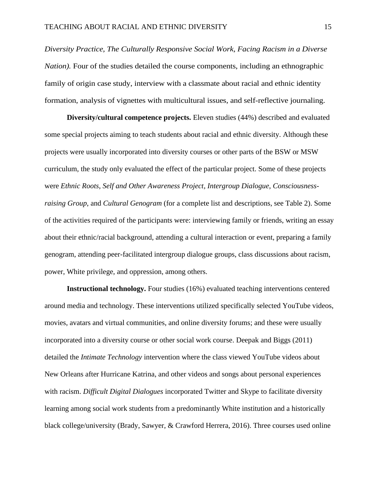*Diversity Practice, The Culturally Responsive Social Work, Facing Racism in a Diverse Nation).* Four of the studies detailed the course components, including an ethnographic family of origin case study, interview with a classmate about racial and ethnic identity formation, analysis of vignettes with multicultural issues, and self-reflective journaling.

**Diversity/cultural competence projects.** Eleven studies (44%) described and evaluated some special projects aiming to teach students about racial and ethnic diversity. Although these projects were usually incorporated into diversity courses or other parts of the BSW or MSW curriculum, the study only evaluated the effect of the particular project. Some of these projects were *Ethnic Roots*, *Self and Other Awareness Project*, *Intergroup Dialogue*, *Consciousnessraising Group*, and *Cultural Genogram* (for a complete list and descriptions, see Table 2). Some of the activities required of the participants were: interviewing family or friends, writing an essay about their ethnic/racial background, attending a cultural interaction or event, preparing a family genogram, attending peer-facilitated intergroup dialogue groups, class discussions about racism, power, White privilege, and oppression, among others.

**Instructional technology.** Four studies (16%) evaluated teaching interventions centered around media and technology. These interventions utilized specifically selected YouTube videos, movies, avatars and virtual communities, and online diversity forums; and these were usually incorporated into a diversity course or other social work course. Deepak and Biggs (2011) detailed the *Intimate Technology* intervention where the class viewed YouTube videos about New Orleans after Hurricane Katrina, and other videos and songs about personal experiences with racism. *Difficult Digital Dialogues* incorporated Twitter and Skype to facilitate diversity learning among social work students from a predominantly White institution and a historically black college/university (Brady, Sawyer, & Crawford Herrera, 2016). Three courses used online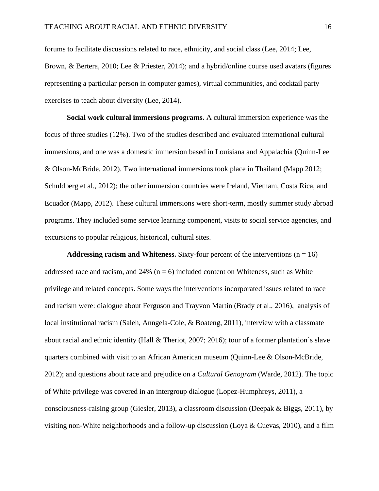forums to facilitate discussions related to race, ethnicity, and social class (Lee, 2014; Lee, Brown, & Bertera, 2010; Lee & Priester, 2014); and a hybrid/online course used avatars (figures representing a particular person in computer games), virtual communities, and cocktail party exercises to teach about diversity (Lee, 2014).

**Social work cultural immersions programs.** A cultural immersion experience was the focus of three studies (12%). Two of the studies described and evaluated international cultural immersions, and one was a domestic immersion based in Louisiana and Appalachia (Quinn-Lee & Olson-McBride, 2012). Two international immersions took place in Thailand (Mapp 2012; Schuldberg et al., 2012); the other immersion countries were Ireland, Vietnam, Costa Rica, and Ecuador (Mapp, 2012). These cultural immersions were short-term, mostly summer study abroad programs. They included some service learning component, visits to social service agencies, and excursions to popular religious, historical, cultural sites.

**Addressing racism and Whiteness.** Sixty-four percent of the interventions  $(n = 16)$ addressed race and racism, and  $24\%$  (n = 6) included content on Whiteness, such as White privilege and related concepts. Some ways the interventions incorporated issues related to race and racism were: dialogue about Ferguson and Trayvon Martin (Brady et al., 2016), analysis of local institutional racism (Saleh, Anngela-Cole, & Boateng, 2011), interview with a classmate about racial and ethnic identity (Hall & Theriot, 2007; 2016); tour of a former plantation's slave quarters combined with visit to an African American museum (Quinn-Lee & Olson-McBride, 2012); and questions about race and prejudice on a *Cultural Genogram* (Warde, 2012). The topic of White privilege was covered in an intergroup dialogue (Lopez-Humphreys, 2011), a consciousness-raising group (Giesler, 2013), a classroom discussion (Deepak & Biggs, 2011), by visiting non-White neighborhoods and a follow-up discussion (Loya & Cuevas, 2010), and a film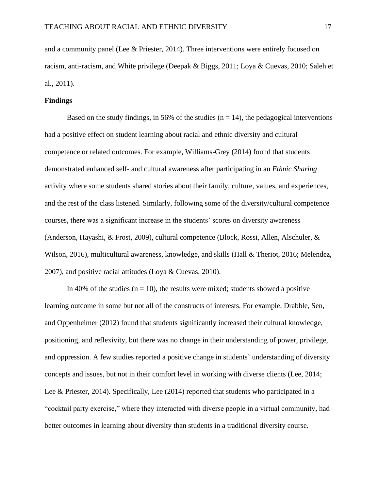and a community panel (Lee & Priester, 2014). Three interventions were entirely focused on racism, anti-racism, and White privilege (Deepak & Biggs, 2011; Loya & Cuevas, 2010; Saleh et al., 2011).

# **Findings**

Based on the study findings, in 56% of the studies  $(n = 14)$ , the pedagogical interventions had a positive effect on student learning about racial and ethnic diversity and cultural competence or related outcomes. For example, Williams-Grey (2014) found that students demonstrated enhanced self- and cultural awareness after participating in an *Ethnic Sharing* activity where some students shared stories about their family, culture, values, and experiences, and the rest of the class listened. Similarly, following some of the diversity/cultural competence courses, there was a significant increase in the students' scores on diversity awareness (Anderson, Hayashi, & Frost, 2009), cultural competence (Block, Rossi, Allen, Alschuler, & Wilson, 2016), multicultural awareness, knowledge, and skills (Hall & Theriot, 2016; Melendez, 2007), and positive racial attitudes (Loya & Cuevas, 2010).

In 40% of the studies ( $n = 10$ ), the results were mixed; students showed a positive learning outcome in some but not all of the constructs of interests. For example, Drabble, Sen, and Oppenheimer (2012) found that students significantly increased their cultural knowledge, positioning, and reflexivity, but there was no change in their understanding of power, privilege, and oppression. A few studies reported a positive change in students' understanding of diversity concepts and issues, but not in their comfort level in working with diverse clients (Lee, 2014; Lee & Priester, 2014). Specifically, Lee (2014) reported that students who participated in a "cocktail party exercise," where they interacted with diverse people in a virtual community, had better outcomes in learning about diversity than students in a traditional diversity course.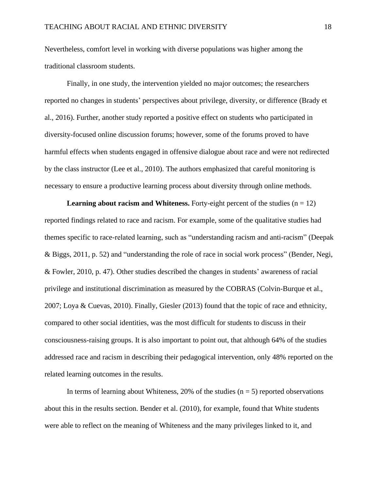Nevertheless, comfort level in working with diverse populations was higher among the traditional classroom students.

Finally, in one study, the intervention yielded no major outcomes; the researchers reported no changes in students' perspectives about privilege, diversity, or difference (Brady et al., 2016). Further, another study reported a positive effect on students who participated in diversity-focused online discussion forums; however, some of the forums proved to have harmful effects when students engaged in offensive dialogue about race and were not redirected by the class instructor (Lee et al., 2010). The authors emphasized that careful monitoring is necessary to ensure a productive learning process about diversity through online methods.

**Learning about racism and Whiteness.** Forty-eight percent of the studies  $(n = 12)$ reported findings related to race and racism. For example, some of the qualitative studies had themes specific to race-related learning, such as "understanding racism and anti-racism" (Deepak & Biggs, 2011, p. 52) and "understanding the role of race in social work process" (Bender, Negi, & Fowler, 2010, p. 47). Other studies described the changes in students' awareness of racial privilege and institutional discrimination as measured by the COBRAS (Colvin-Burque et al., 2007; Loya & Cuevas, 2010). Finally, Giesler (2013) found that the topic of race and ethnicity, compared to other social identities, was the most difficult for students to discuss in their consciousness-raising groups. It is also important to point out, that although 64% of the studies addressed race and racism in describing their pedagogical intervention, only 48% reported on the related learning outcomes in the results.

In terms of learning about Whiteness, 20% of the studies  $(n = 5)$  reported observations about this in the results section. Bender et al. (2010), for example, found that White students were able to reflect on the meaning of Whiteness and the many privileges linked to it, and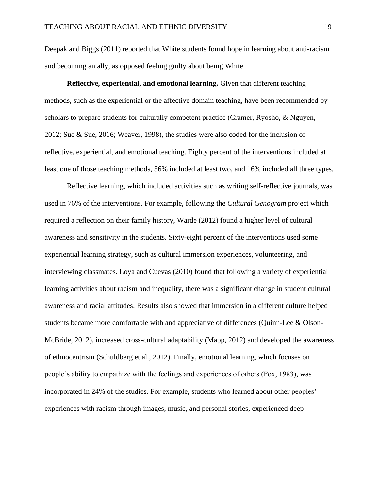Deepak and Biggs (2011) reported that White students found hope in learning about anti-racism and becoming an ally, as opposed feeling guilty about being White.

**Reflective, experiential, and emotional learning.** Given that different teaching methods, such as the experiential or the affective domain teaching, have been recommended by scholars to prepare students for culturally competent practice (Cramer, Ryosho, & Nguyen, 2012; Sue & Sue, 2016; Weaver, 1998), the studies were also coded for the inclusion of reflective, experiential, and emotional teaching. Eighty percent of the interventions included at least one of those teaching methods, 56% included at least two, and 16% included all three types.

Reflective learning, which included activities such as writing self-reflective journals, was used in 76% of the interventions. For example, following the *Cultural Genogram* project which required a reflection on their family history, Warde (2012) found a higher level of cultural awareness and sensitivity in the students. Sixty-eight percent of the interventions used some experiential learning strategy, such as cultural immersion experiences, volunteering, and interviewing classmates. Loya and Cuevas (2010) found that following a variety of experiential learning activities about racism and inequality, there was a significant change in student cultural awareness and racial attitudes. Results also showed that immersion in a different culture helped students became more comfortable with and appreciative of differences (Quinn-Lee & Olson-McBride, 2012), increased cross-cultural adaptability (Mapp, 2012) and developed the awareness of ethnocentrism (Schuldberg et al., 2012). Finally, emotional learning, which focuses on people's ability to empathize with the feelings and experiences of others (Fox, 1983), was incorporated in 24% of the studies. For example, students who learned about other peoples' experiences with racism through images, music, and personal stories, experienced deep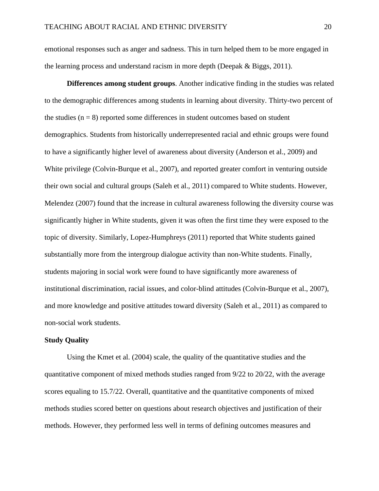emotional responses such as anger and sadness. This in turn helped them to be more engaged in the learning process and understand racism in more depth (Deepak  $\&$  Biggs, 2011).

**Differences among student groups**. Another indicative finding in the studies was related to the demographic differences among students in learning about diversity. Thirty-two percent of the studies  $(n = 8)$  reported some differences in student outcomes based on student demographics. Students from historically underrepresented racial and ethnic groups were found to have a significantly higher level of awareness about diversity (Anderson et al., 2009) and White privilege (Colvin-Burque et al., 2007), and reported greater comfort in venturing outside their own social and cultural groups (Saleh et al., 2011) compared to White students. However, Melendez (2007) found that the increase in cultural awareness following the diversity course was significantly higher in White students, given it was often the first time they were exposed to the topic of diversity. Similarly, Lopez-Humphreys (2011) reported that White students gained substantially more from the intergroup dialogue activity than non-White students. Finally, students majoring in social work were found to have significantly more awareness of institutional discrimination, racial issues, and color-blind attitudes (Colvin-Burque et al., 2007), and more knowledge and positive attitudes toward diversity (Saleh et al., 2011) as compared to non-social work students.

### **Study Quality**

Using the Kmet et al. (2004) scale, the quality of the quantitative studies and the quantitative component of mixed methods studies ranged from 9/22 to 20/22, with the average scores equaling to 15.7/22. Overall, quantitative and the quantitative components of mixed methods studies scored better on questions about research objectives and justification of their methods. However, they performed less well in terms of defining outcomes measures and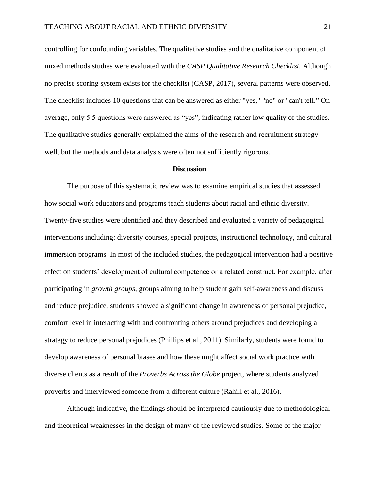controlling for confounding variables. The qualitative studies and the qualitative component of mixed methods studies were evaluated with the *CASP Qualitative Research Checklist.* Although no precise scoring system exists for the checklist (CASP, 2017), several patterns were observed. The checklist includes 10 questions that can be answered as either "yes," "no" or "can't tell." On average, only 5.5 questions were answered as "yes", indicating rather low quality of the studies. The qualitative studies generally explained the aims of the research and recruitment strategy well, but the methods and data analysis were often not sufficiently rigorous.

### **Discussion**

The purpose of this systematic review was to examine empirical studies that assessed how social work educators and programs teach students about racial and ethnic diversity. Twenty-five studies were identified and they described and evaluated a variety of pedagogical interventions including: diversity courses, special projects, instructional technology, and cultural immersion programs. In most of the included studies, the pedagogical intervention had a positive effect on students' development of cultural competence or a related construct. For example, after participating in *growth groups*, groups aiming to help student gain self-awareness and discuss and reduce prejudice, students showed a significant change in awareness of personal prejudice, comfort level in interacting with and confronting others around prejudices and developing a strategy to reduce personal prejudices (Phillips et al., 2011). Similarly, students were found to develop awareness of personal biases and how these might affect social work practice with diverse clients as a result of the *Proverbs Across the Globe* project, where students analyzed proverbs and interviewed someone from a different culture (Rahill et al., 2016).

Although indicative, the findings should be interpreted cautiously due to methodological and theoretical weaknesses in the design of many of the reviewed studies. Some of the major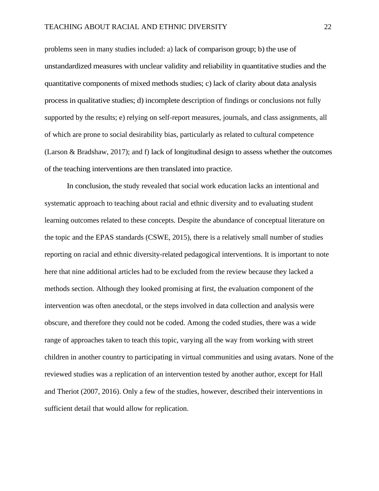problems seen in many studies included: a) lack of comparison group; b) the use of unstandardized measures with unclear validity and reliability in quantitative studies and the quantitative components of mixed methods studies; c) lack of clarity about data analysis process in qualitative studies; d) incomplete description of findings or conclusions not fully supported by the results; e) relying on self-report measures, journals, and class assignments, all of which are prone to social desirability bias, particularly as related to cultural competence (Larson & Bradshaw, 2017); and f) lack of longitudinal design to assess whether the outcomes of the teaching interventions are then translated into practice.

In conclusion, the study revealed that social work education lacks an intentional and systematic approach to teaching about racial and ethnic diversity and to evaluating student learning outcomes related to these concepts. Despite the abundance of conceptual literature on the topic and the EPAS standards (CSWE, 2015), there is a relatively small number of studies reporting on racial and ethnic diversity-related pedagogical interventions. It is important to note here that nine additional articles had to be excluded from the review because they lacked a methods section. Although they looked promising at first, the evaluation component of the intervention was often anecdotal, or the steps involved in data collection and analysis were obscure, and therefore they could not be coded. Among the coded studies, there was a wide range of approaches taken to teach this topic, varying all the way from working with street children in another country to participating in virtual communities and using avatars. None of the reviewed studies was a replication of an intervention tested by another author, except for Hall and Theriot (2007, 2016). Only a few of the studies, however, described their interventions in sufficient detail that would allow for replication.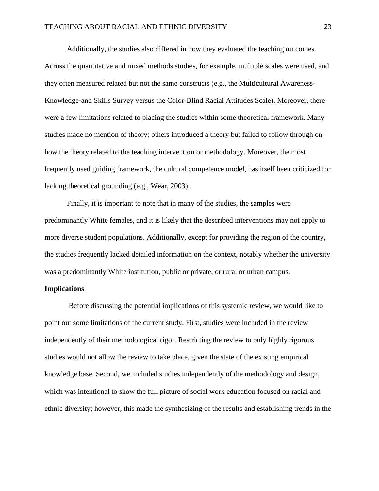Additionally, the studies also differed in how they evaluated the teaching outcomes. Across the quantitative and mixed methods studies, for example, multiple scales were used, and they often measured related but not the same constructs (e.g., the Multicultural Awareness-Knowledge-and Skills Survey versus the Color-Blind Racial Attitudes Scale). Moreover, there were a few limitations related to placing the studies within some theoretical framework. Many studies made no mention of theory; others introduced a theory but failed to follow through on how the theory related to the teaching intervention or methodology. Moreover, the most frequently used guiding framework, the cultural competence model, has itself been criticized for lacking theoretical grounding (e.g., Wear, 2003).

Finally, it is important to note that in many of the studies, the samples were predominantly White females, and it is likely that the described interventions may not apply to more diverse student populations. Additionally, except for providing the region of the country, the studies frequently lacked detailed information on the context, notably whether the university was a predominantly White institution, public or private, or rural or urban campus.

### **Implications**

Before discussing the potential implications of this systemic review, we would like to point out some limitations of the current study. First, studies were included in the review independently of their methodological rigor. Restricting the review to only highly rigorous studies would not allow the review to take place, given the state of the existing empirical knowledge base. Second, we included studies independently of the methodology and design, which was intentional to show the full picture of social work education focused on racial and ethnic diversity; however, this made the synthesizing of the results and establishing trends in the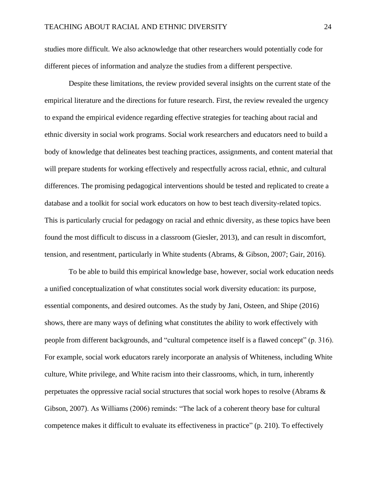studies more difficult. We also acknowledge that other researchers would potentially code for different pieces of information and analyze the studies from a different perspective.

Despite these limitations, the review provided several insights on the current state of the empirical literature and the directions for future research. First, the review revealed the urgency to expand the empirical evidence regarding effective strategies for teaching about racial and ethnic diversity in social work programs. Social work researchers and educators need to build a body of knowledge that delineates best teaching practices, assignments, and content material that will prepare students for working effectively and respectfully across racial, ethnic, and cultural differences. The promising pedagogical interventions should be tested and replicated to create a database and a toolkit for social work educators on how to best teach diversity-related topics. This is particularly crucial for pedagogy on racial and ethnic diversity, as these topics have been found the most difficult to discuss in a classroom (Giesler, 2013), and can result in discomfort, tension, and resentment, particularly in White students (Abrams, & Gibson, 2007; Gair, 2016).

To be able to build this empirical knowledge base, however, social work education needs a unified conceptualization of what constitutes social work diversity education: its purpose, essential components, and desired outcomes. As the study by Jani, Osteen, and Shipe (2016) shows, there are many ways of defining what constitutes the ability to work effectively with people from different backgrounds, and "cultural competence itself is a flawed concept" (p. 316). For example, social work educators rarely incorporate an analysis of Whiteness, including White culture, White privilege, and White racism into their classrooms, which, in turn, inherently perpetuates the oppressive racial social structures that social work hopes to resolve (Abrams & Gibson, 2007). As Williams (2006) reminds: "The lack of a coherent theory base for cultural competence makes it difficult to evaluate its effectiveness in practice" (p. 210). To effectively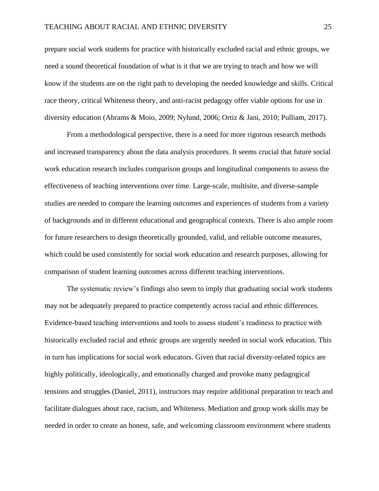prepare social work students for practice with historically excluded racial and ethnic groups, we need a sound theoretical foundation of what is it that we are trying to teach and how we will know if the students are on the right path to developing the needed knowledge and skills. Critical race theory, critical Whiteness theory, and anti-racist pedagogy offer viable options for use in diversity education (Abrams & Moio, 2009; Nylund, 2006; Ortiz & Jani, 2010; Pulliam, 2017).

From a methodological perspective, there is a need for more rigorous research methods and increased transparency about the data analysis procedures. It seems crucial that future social work education research includes comparison groups and longitudinal components to assess the effectiveness of teaching interventions over time. Large-scale, multisite, and diverse-sample studies are needed to compare the learning outcomes and experiences of students from a variety of backgrounds and in different educational and geographical contexts. There is also ample room for future researchers to design theoretically grounded, valid, and reliable outcome measures, which could be used consistently for social work education and research purposes, allowing for comparison of student learning outcomes across different teaching interventions.

The systematic review's findings also seem to imply that graduating social work students may not be adequately prepared to practice competently across racial and ethnic differences. Evidence-based teaching interventions and tools to assess student's readiness to practice with historically excluded racial and ethnic groups are urgently needed in social work education. This in turn has implications for social work educators. Given that racial diversity-related topics are highly politically, ideologically, and emotionally charged and provoke many pedagogical tensions and struggles (Daniel, 2011), instructors may require additional preparation to teach and facilitate dialogues about race, racism, and Whiteness. Mediation and group work skills may be needed in order to create an honest, safe, and welcoming classroom environment where students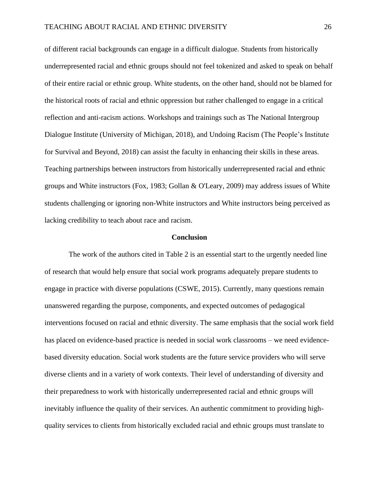of different racial backgrounds can engage in a difficult dialogue. Students from historically underrepresented racial and ethnic groups should not feel tokenized and asked to speak on behalf of their entire racial or ethnic group. White students, on the other hand, should not be blamed for the historical roots of racial and ethnic oppression but rather challenged to engage in a critical reflection and anti-racism actions. Workshops and trainings such as The National Intergroup Dialogue Institute (University of Michigan, 2018), and Undoing Racism (The People's Institute for Survival and Beyond, 2018) can assist the faculty in enhancing their skills in these areas. Teaching partnerships between instructors from historically underrepresented racial and ethnic groups and White instructors (Fox, 1983; Gollan & O'Leary, 2009) may address issues of White students challenging or ignoring non-White instructors and White instructors being perceived as lacking credibility to teach about race and racism.

### **Conclusion**

The work of the authors cited in Table 2 is an essential start to the urgently needed line of research that would help ensure that social work programs adequately prepare students to engage in practice with diverse populations (CSWE, 2015). Currently, many questions remain unanswered regarding the purpose, components, and expected outcomes of pedagogical interventions focused on racial and ethnic diversity. The same emphasis that the social work field has placed on evidence-based practice is needed in social work classrooms – we need evidencebased diversity education. Social work students are the future service providers who will serve diverse clients and in a variety of work contexts. Their level of understanding of diversity and their preparedness to work with historically underrepresented racial and ethnic groups will inevitably influence the quality of their services. An authentic commitment to providing highquality services to clients from historically excluded racial and ethnic groups must translate to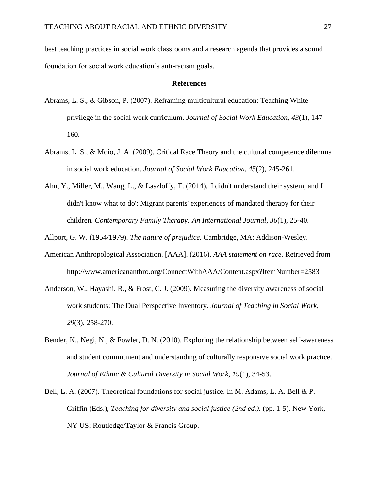best teaching practices in social work classrooms and a research agenda that provides a sound foundation for social work education's anti-racism goals.

### **References**

- Abrams, L. S., & Gibson, P. (2007). Reframing multicultural education: Teaching White privilege in the social work curriculum. *Journal of Social Work Education, 43*(1), 147- 160.
- Abrams, L. S., & Moio, J. A. (2009). Critical Race Theory and the cultural competence dilemma in social work education. *Journal of Social Work Education, 45*(2), 245-261.
- Ahn, Y., Miller, M., Wang, L., & Laszloffy, T. (2014). 'I didn't understand their system, and I didn't know what to do': Migrant parents' experiences of mandated therapy for their children. *Contemporary Family Therapy: An International Journal, 36*(1), 25-40.

Allport, G. W. (1954/1979). *The nature of prejudice.* Cambridge, MA: Addison-Wesley.

- American Anthropological Association. [AAA]. (2016). *AAA statement on race.* Retrieved from <http://www.americananthro.org/ConnectWithAAA/Content.aspx?ItemNumber=2583>
- Anderson, W., Hayashi, R., & Frost, C. J. (2009). Measuring the diversity awareness of social work students: The Dual Perspective Inventory. *Journal of Teaching in Social Work, 29*(3), 258-270.
- Bender, K., Negi, N., & Fowler, D. N. (2010). Exploring the relationship between self-awareness and student commitment and understanding of culturally responsive social work practice. *Journal of Ethnic & Cultural Diversity in Social Work, 19*(1), 34-53.
- Bell, L. A. (2007). Theoretical foundations for social justice. In M. Adams, L. A. Bell & P. Griffin (Eds.), *Teaching for diversity and social justice (2nd ed.).* (pp. 1-5). New York, NY US: Routledge/Taylor & Francis Group.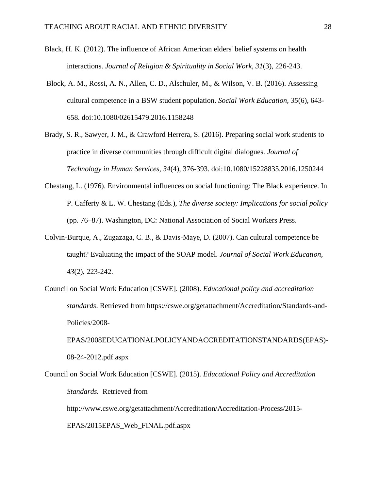- Black, H. K. (2012). The influence of African American elders' belief systems on health interactions. *Journal of Religion & Spirituality in Social Work, 31*(3), 226-243.
- Block, A. M., Rossi, A. N., Allen, C. D., Alschuler, M., & Wilson, V. B. (2016). Assessing cultural competence in a BSW student population. *Social Work Education, 35*(6), 643- 658. doi:10.1080/02615479.2016.1158248
- Brady, S. R., Sawyer, J. M., & Crawford Herrera, S. (2016). Preparing social work students to practice in diverse communities through difficult digital dialogues. *Journal of Technology in Human Services, 34*(4), 376-393. doi:10.1080/15228835.2016.1250244
- Chestang, L. (1976). Environmental influences on social functioning: The Black experience. In P. Cafferty & L. W. Chestang (Eds.), *The diverse society: Implications for social policy*  (pp. 76–87). Washington, DC: National Association of Social Workers Press.
- Colvin-Burque, A., Zugazaga, C. B., & Davis-Maye, D. (2007). Can cultural competence be taught? Evaluating the impact of the SOAP model. *Journal of Social Work Education, 43*(2), 223-242.
- Council on Social Work Education [CSWE]. (2008). *Educational policy and accreditation standards*. Retrieved from https://cswe.org/getattachment/Accreditation/Standards-and-Policies/2008-

EPAS/2008EDUCATIONALPOLICYANDACCREDITATIONSTANDARDS(EPAS)- 08-24-2012.pdf.aspx

Council on Social Work Education [CSWE]. (2015). *Educational Policy and Accreditation Standards.* Retrieved from http://www.cswe.org/getattachment/Accreditation/Accreditation-Process/2015- EPAS/2015EPAS\_Web\_FINAL.pdf.aspx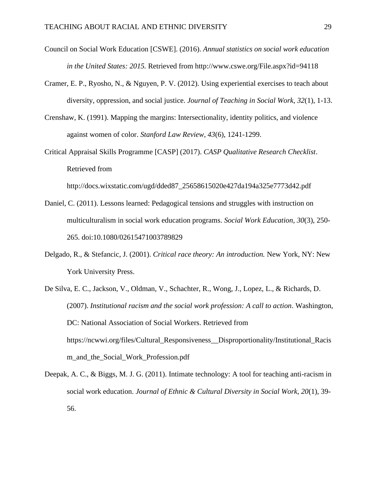- Council on Social Work Education [CSWE]. (2016). *Annual statistics on social work education in the United States: 2015.* Retrieved from http://www.cswe.org/File.aspx?id=94118
- Cramer, E. P., Ryosho, N., & Nguyen, P. V. (2012). Using experiential exercises to teach about diversity, oppression, and social justice. *Journal of Teaching in Social Work, 32*(1), 1-13.
- Crenshaw, K. (1991). Mapping the margins: Intersectionality, identity politics, and violence against women of color. *Stanford Law Review, 43*(6), 1241-1299.
- Critical Appraisal Skills Programme [CASP] (2017). *CASP Qualitative Research Checklist*. Retrieved from

http://docs.wixstatic.com/ugd/dded87\_25658615020e427da194a325e7773d42.pdf

- Daniel, C. (2011). Lessons learned: Pedagogical tensions and struggles with instruction on multiculturalism in social work education programs. *Social Work Education, 30*(3), 250- 265. doi:10.1080/02615471003789829
- Delgado, R., & Stefancic, J. (2001). *Critical race theory: An introduction.* New York, NY: New York University Press.
- De Silva, E. C., Jackson, V., Oldman, V., Schachter, R., Wong, J., Lopez, L., & Richards, D. (2007). *Institutional racism and the social work profession: A call to action*. Washington, DC: National Association of Social Workers. Retrieved from [https://ncwwi.org/files/Cultural\\_Responsiveness\\_\\_Disproportionality/Institutional\\_Racis](https://ncwwi.org/files/Cultural_Responsiveness__Disproportionality/Institutional_Racism_and_the_Social_Work_Profession.pdf) [m\\_and\\_the\\_Social\\_Work\\_Profession.pdf](https://ncwwi.org/files/Cultural_Responsiveness__Disproportionality/Institutional_Racism_and_the_Social_Work_Profession.pdf)
- Deepak, A. C., & Biggs, M. J. G. (2011). Intimate technology: A tool for teaching anti-racism in social work education. *Journal of Ethnic & Cultural Diversity in Social Work, 20*(1), 39- 56.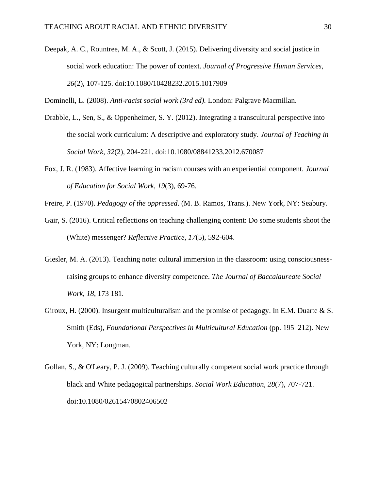Deepak, A. C., Rountree, M. A., & Scott, J. (2015). Delivering diversity and social justice in social work education: The power of context. *Journal of Progressive Human Services, 26*(2), 107-125. doi:10.1080/10428232.2015.1017909

Dominelli, L. (2008). *Anti-racist social work (3rd ed).* London: Palgrave Macmillan.

- Drabble, L., Sen, S., & Oppenheimer, S. Y. (2012). Integrating a transcultural perspective into the social work curriculum: A descriptive and exploratory study. *Journal of Teaching in Social Work, 32*(2), 204-221. doi:10.1080/08841233.2012.670087
- Fox, J. R. (1983). Affective learning in racism courses with an experiential component. *Journal of Education for Social Work, 19*(3), 69-76.
- Freire, P. (1970). *Pedagogy of the oppressed*. (M. B. Ramos, Trans.). New York, NY: Seabury.
- Gair, S. (2016). Critical reflections on teaching challenging content: Do some students shoot the (White) messenger? *Reflective Practice, 17*(5), 592-604.
- Giesler, M. A. (2013). Teaching note: cultural immersion in the classroom: using consciousnessraising groups to enhance diversity competence. *The Journal of Baccalaureate Social Work, 18*, 173 181.
- Giroux, H. (2000). Insurgent multiculturalism and the promise of pedagogy. In E.M. Duarte & S. Smith (Eds), *Foundational Perspectives in Multicultural Education* (pp. 195–212). New York, NY: Longman.
- Gollan, S., & O'Leary, P. J. (2009). Teaching culturally competent social work practice through black and White pedagogical partnerships. *Social Work Education, 28*(7), 707-721. doi:10.1080/02615470802406502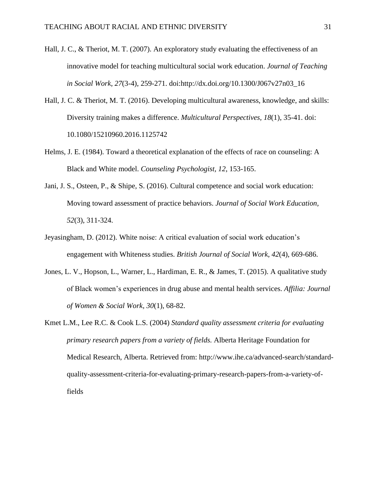- Hall, J. C., & Theriot, M. T. (2007). An exploratory study evaluating the effectiveness of an innovative model for teaching multicultural social work education. *Journal of Teaching in Social Work, 27*(3-4), 259-271. doi:http://dx.doi.org/10.1300/J067v27n03\_16
- Hall, J. C. & Theriot, M. T. (2016). Developing multicultural awareness, knowledge, and skills: Diversity training makes a difference. *Multicultural Perspectives, 18*(1), 35-41. doi: 10.1080/15210960.2016.1125742
- Helms, J. E. (1984). Toward a theoretical explanation of the effects of race on counseling: A Black and White model. *Counseling Psychologist, 12*, 153-165.
- Jani, J. S., Osteen, P., & Shipe, S. (2016). Cultural competence and social work education: Moving toward assessment of practice behaviors. *Journal of Social Work Education, 52*(3), 311-324.
- Jeyasingham, D. (2012). White noise: A critical evaluation of social work education's engagement with Whiteness studies. *British Journal of Social Work*, *42*(4), 669-686.
- Jones, L. V., Hopson, L., Warner, L., Hardiman, E. R., & James, T. (2015). A qualitative study of Black women's experiences in drug abuse and mental health services. *Affilia: Journal of Women & Social Work, 30*(1), 68-82.
- Kmet L.M., Lee R.C. & Cook L.S. (2004) *Standard quality assessment criteria for evaluating primary research papers from a variety of fields.* Alberta Heritage Foundation for Medical Research, Alberta. Retrieved from: [http://www.ihe.ca/advanced-search/standard](http://www.ihe.ca/advanced-search/standard-quality-assessment-criteria-for-evaluating-primary-research-papers-from-a-variety-of-fields)[quality-assessment-criteria-for-evaluating-primary-research-papers-from-a-variety-of](http://www.ihe.ca/advanced-search/standard-quality-assessment-criteria-for-evaluating-primary-research-papers-from-a-variety-of-fields)[fields](http://www.ihe.ca/advanced-search/standard-quality-assessment-criteria-for-evaluating-primary-research-papers-from-a-variety-of-fields)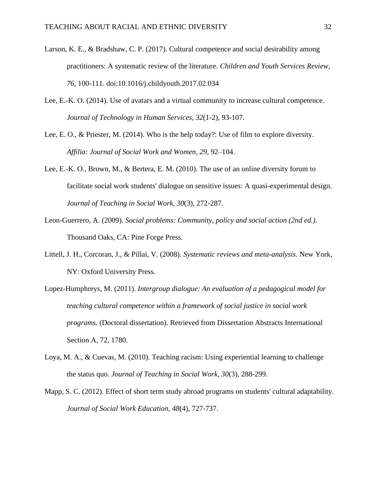- Larson, K. E., & Bradshaw, C. P. (2017). Cultural competence and social desirability among practitioners: A systematic review of the literature. *Children and Youth Services Review, 76*, 100-111. doi:10.1016/j.childyouth.2017.02.034
- Lee, E.-K. O. (2014). Use of avatars and a virtual community to increase cultural competence. *Journal of Technology in Human Services, 32*(1-2), 93-107.
- Lee, E. O., & Priester, M. (2014). Who is the help today?: Use of film to explore diversity. *Affilia: Journal of Social Work and Women, 29*, 92–104.
- Lee, E.-K. O., Brown, M., & Bertera, E. M. (2010). The use of an online diversity forum to facilitate social work students' dialogue on sensitive issues: A quasi-experimental design. *Journal of Teaching in Social Work, 30*(3), 272-287.
- Leon-Guerrero, A. (2009). *Social problems: Community, policy and social action (2nd ed.).* Thousand Oaks, CA: Pine Forge Press.
- Littell, J. H., Corcoran, J., & Pillai, V. (2008). *Systematic reviews and meta-analysis.* New York, NY: Oxford University Press.
- Lopez-Humphreys, M. (2011). *Intergroup dialogue: An evaluation of a pedagogical model for teaching cultural competence within a framework of social justice in social work programs.* (Doctoral dissertation). Retrieved from Dissertation Abstracts International Section A, 72, 1780.
- Loya, M. A., & Cuevas, M. (2010). Teaching racism: Using experiential learning to challenge the status quo. *Journal of Teaching in Social Work, 30*(3), 288-299.
- Mapp, S. C. (2012). Effect of short term study abroad programs on students' cultural adaptability. *Journal of Social Work Education, 48*(4), 727-737.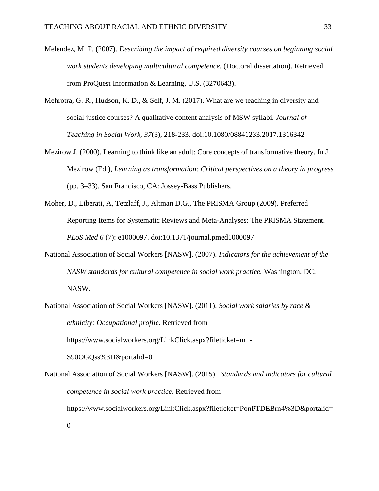- Melendez, M. P. (2007). *Describing the impact of required diversity courses on beginning social work students developing multicultural competence.* (Doctoral dissertation). Retrieved from ProQuest Information & Learning, U.S. (3270643).
- Mehrotra, G. R., Hudson, K. D., & Self, J. M. (2017). What are we teaching in diversity and social justice courses? A qualitative content analysis of MSW syllabi. *Journal of Teaching in Social Work, 37*(3), 218-233. doi:10.1080/08841233.2017.1316342
- Mezirow J. (2000). Learning to think like an adult: Core concepts of transformative theory. In J. Mezirow (Ed.), *Learning as transformation: Critical perspectives on a theory in progress* (pp. 3–33). San Francisco, CA: Jossey-Bass Publishers.
- Moher, D., Liberati, A, Tetzlaff, J., Altman D.G., The PRISMA Group (2009). Preferred Reporting Items for Systematic Reviews and Meta-Analyses: The PRISMA Statement. *PLoS Med 6* (7): e1000097. doi:10.1371/journal.pmed1000097
- National Association of Social Workers [NASW]. (2007). *Indicators for the achievement of the NASW standards for cultural competence in social work practice.* Washington, DC: NASW.
- National Association of Social Workers [NASW]. (2011). *Social work salaries by race & ethnicity: Occupational profile*. Retrieved from

https://www.socialworkers.org/LinkClick.aspx?fileticket=m\_-

S90OGQss%3D&portalid=0

National Association of Social Workers [NASW]. (2015). *Standards and indicators for cultural competence in social work practice.* Retrieved from https://www.socialworkers.org/LinkClick.aspx?fileticket=PonPTDEBrn4%3D&portalid= 0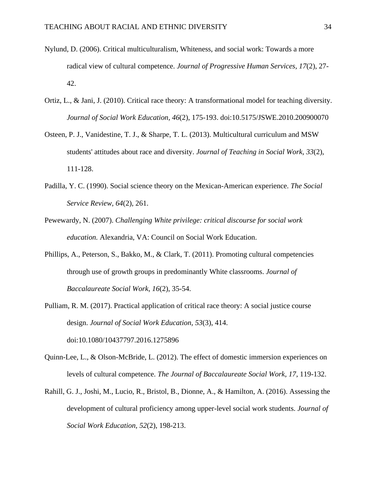- Nylund, D. (2006). Critical multiculturalism, Whiteness, and social work: Towards a more radical view of cultural competence. *Journal of Progressive Human Services, 17*(2), 27- 42.
- Ortiz, L., & Jani, J. (2010). Critical race theory: A transformational model for teaching diversity. *Journal of Social Work Education, 46*(2), 175-193. doi:10.5175/JSWE.2010.200900070
- Osteen, P. J., Vanidestine, T. J., & Sharpe, T. L. (2013). Multicultural curriculum and MSW students' attitudes about race and diversity. *Journal of Teaching in Social Work, 33*(2), 111-128.
- Padilla, Y. C. (1990). Social science theory on the Mexican-American experience. *The Social Service Review, 64*(2), 261.
- Pewewardy, N. (2007). *Challenging White privilege: critical discourse for social work education.* Alexandria, VA: Council on Social Work Education.
- Phillips, A., Peterson, S., Bakko, M., & Clark, T. (2011). Promoting cultural competencies through use of growth groups in predominantly White classrooms. *Journal of Baccalaureate Social Work, 16*(2), 35-54.
- Pulliam, R. M. (2017). Practical application of critical race theory: A social justice course design. *Journal of Social Work Education, 53*(3), 414. doi:10.1080/10437797.2016.1275896
- Quinn-Lee, L., & Olson-McBride, L. (2012). The effect of domestic immersion experiences on levels of cultural competence. *The Journal of Baccalaureate Social Work, 17*, 119-132.
- Rahill, G. J., Joshi, M., Lucio, R., Bristol, B., Dionne, A., & Hamilton, A. (2016). Assessing the development of cultural proficiency among upper-level social work students. *Journal of Social Work Education, 52*(2), 198-213.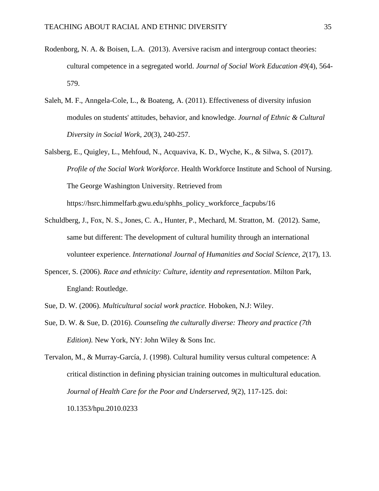- Rodenborg, N. A. & Boisen, L.A. (2013). Aversive racism and intergroup contact theories: cultural competence in a segregated world. *Journal of Social Work Education 49*(4), 564- 579.
- Saleh, M. F., Anngela-Cole, L., & Boateng, A. (2011). Effectiveness of diversity infusion modules on students' attitudes, behavior, and knowledge. *Journal of Ethnic & Cultural Diversity in Social Work, 20*(3), 240-257.
- Salsberg, E., Quigley, L., Mehfoud, N., Acquaviva, K. D., Wyche, K., & Silwa, S. (2017). *Profile of the Social Work Workforce*. Health Workforce Institute and School of Nursing. The George Washington University. Retrieved from https://hsrc.himmelfarb.gwu.edu/sphhs\_policy\_workforce\_facpubs/16
- Schuldberg, J., Fox, N. S., Jones, C. A., Hunter, P., Mechard, M. Stratton, M. (2012). Same, same but different: The development of cultural humility through an international volunteer experience. *International Journal of Humanities and Social Science, 2*(17), 13.
- Spencer, S. (2006). *Race and ethnicity: Culture, identity and representation*. Milton Park, England: Routledge.
- Sue, D. W. (2006). *Multicultural social work practice.* Hoboken, N.J: Wiley.
- Sue, D. W. & Sue, D. (2016). *Counseling the culturally diverse: Theory and practice (7th Edition).* New York, NY: John Wiley & Sons Inc.

Tervalon, M., & Murray-García, J. (1998). Cultural humility versus cultural competence: A critical distinction in defining physician training outcomes in multicultural education. *Journal of Health Care for the Poor and Underserved, 9*(2), 117-125. doi: 10.1353/hpu.2010.0233